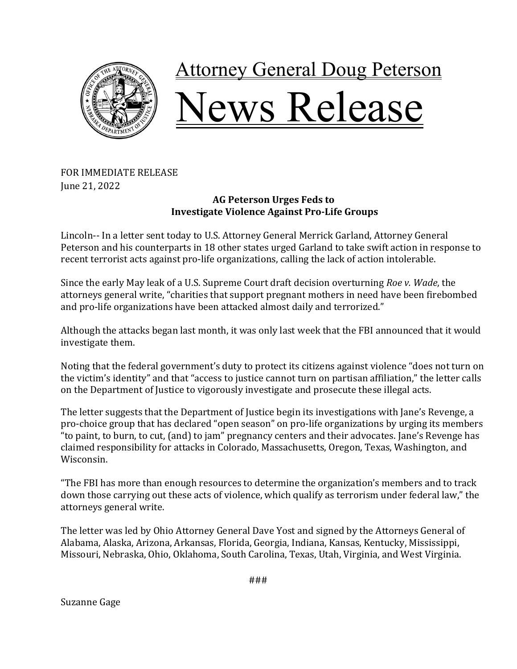

## **Attorney General Doug Peterson** Jews Release

## FOR IMMEDIATE RELEASE June 21, 2022

## **AG Peterson Urges Feds to Investigate Violence Against Pro-Life Groups**

Lincoln-- In a letter sent today to U.S. Attorney General Merrick Garland, Attorney General Peterson and his counterparts in 18 other states urged Garland to take swift action in response to recent terrorist acts against pro-life organizations, calling the lack of action intolerable.

Since the early May leak of a U.S. Supreme Court draft decision overturning *Roe v. Wade*, the attorneys general write, "charities that support pregnant mothers in need have been firebombed and pro-life organizations have been attacked almost daily and terrorized."

Although the attacks began last month, it was only last week that the FBI announced that it would investigate them.

Noting that the federal government's duty to protect its citizens against violence "does not turn on the victim's identity" and that "access to justice cannot turn on partisan affiliation," the letter calls on the Department of Justice to vigorously investigate and prosecute these illegal acts.

The letter suggests that the Department of Justice begin its investigations with Jane's Revenge, a pro-choice group that has declared "open season" on pro-life organizations by urging its members "to paint, to burn, to cut, (and) to jam" pregnancy centers and their advocates. Jane's Revenge has claimed responsibility for attacks in Colorado, Massachusetts, Oregon, Texas, Washington, and Wisconsin.

"The FBI has more than enough resources to determine the organization's members and to track down those carrying out these acts of violence, which qualify as terrorism under federal law," the attorneys general write.

The letter was led by Ohio Attorney General Dave Yost and signed by the Attorneys General of Alabama, Alaska, Arizona, Arkansas, Florida, Georgia, Indiana, Kansas, Kentucky, Mississippi, Missouri, Nebraska, Ohio, Oklahoma, South Carolina, Texas, Utah, Virginia, and West Virginia.

###

Suzanne Gage